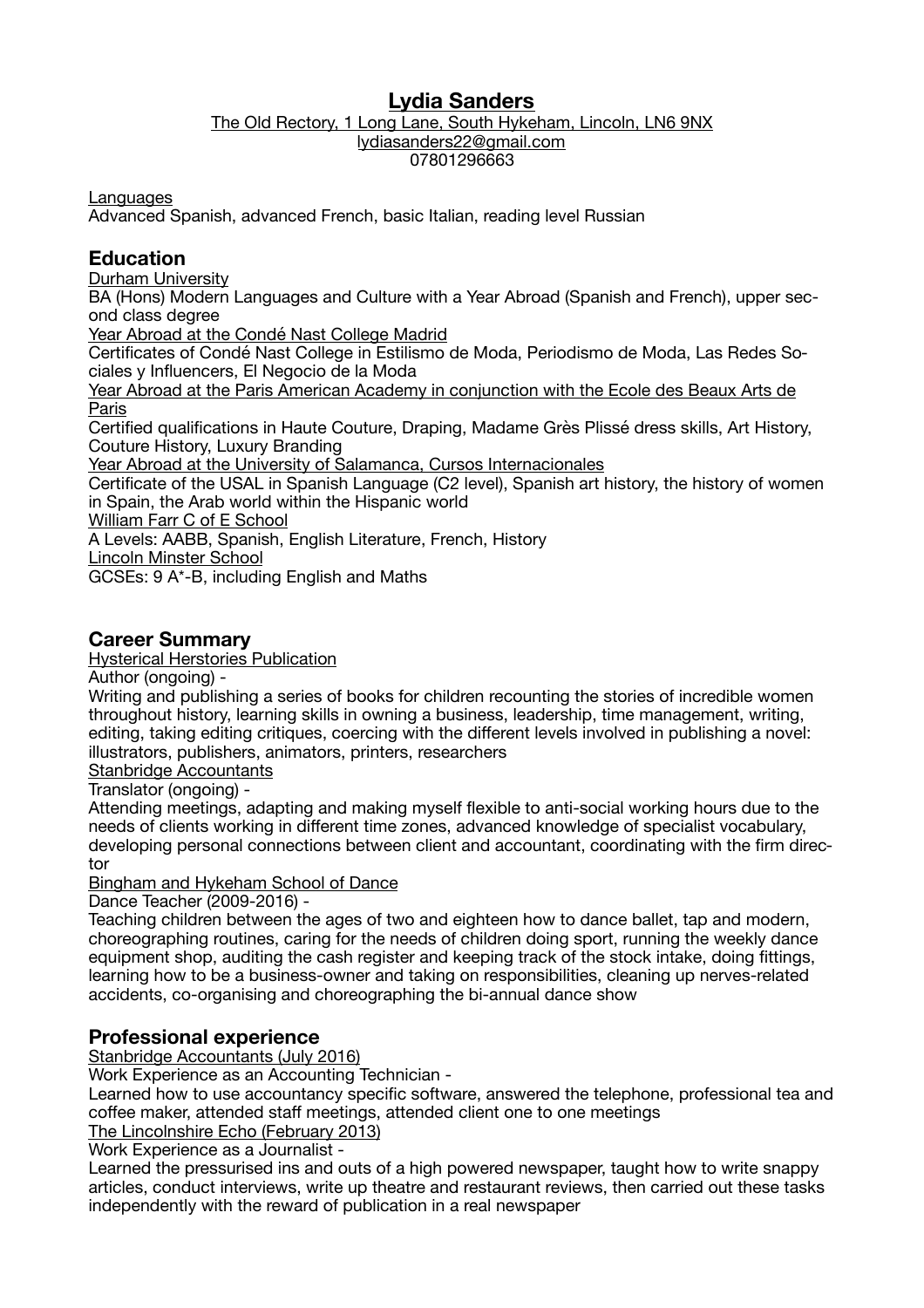# **Lydia Sanders**

The Old Rectory, 1 Long Lane, South Hykeham, Lincoln, LN6 9NX [lydiasanders22@gmail.com](mailto:lydiasanders22@gmail.com) 07801296663

#### **Languages**

Advanced Spanish, advanced French, basic Italian, reading level Russian

# **Education**

Durham University

BA (Hons) Modern Languages and Culture with a Year Abroad (Spanish and French), upper second class degree

Year Abroad at the Condé Nast College Madrid

Certificates of Condé Nast College in Estilismo de Moda, Periodismo de Moda, Las Redes Sociales y Influencers, El Negocio de la Moda

Year Abroad at the Paris American Academy in conjunction with the Ecole des Beaux Arts de Paris

Certified qualifications in Haute Couture, Draping, Madame Grès Plissé dress skills, Art History, Couture History, Luxury Branding

Year Abroad at the University of Salamanca, Cursos Internacionales

Certificate of the USAL in Spanish Language (C2 level), Spanish art history, the history of women in Spain, the Arab world within the Hispanic world

William Farr C of E School

A Levels: AABB, Spanish, English Literature, French, History

Lincoln Minster School

GCSEs: 9 A\*-B, including English and Maths

## **Career Summary**

Hysterical Herstories Publication

Author (ongoing) -

Writing and publishing a series of books for children recounting the stories of incredible women throughout history, learning skills in owning a business, leadership, time management, writing, editing, taking editing critiques, coercing with the different levels involved in publishing a novel: illustrators, publishers, animators, printers, researchers

Stanbridge Accountants

Translator (ongoing) -

Attending meetings, adapting and making myself flexible to anti-social working hours due to the needs of clients working in different time zones, advanced knowledge of specialist vocabulary, developing personal connections between client and accountant, coordinating with the firm director

Bingham and Hykeham School of Dance

Dance Teacher (2009-2016) -

Teaching children between the ages of two and eighteen how to dance ballet, tap and modern, choreographing routines, caring for the needs of children doing sport, running the weekly dance equipment shop, auditing the cash register and keeping track of the stock intake, doing fittings, learning how to be a business-owner and taking on responsibilities, cleaning up nerves-related accidents, co-organising and choreographing the bi-annual dance show

## **Professional experience**

Stanbridge Accountants (July 2016)

Work Experience as an Accounting Technician -

Learned how to use accountancy specific software, answered the telephone, professional tea and coffee maker, attended staff meetings, attended client one to one meetings

The Lincolnshire Echo (February 2013)

Work Experience as a Journalist -

Learned the pressurised ins and outs of a high powered newspaper, taught how to write snappy articles, conduct interviews, write up theatre and restaurant reviews, then carried out these tasks independently with the reward of publication in a real newspaper